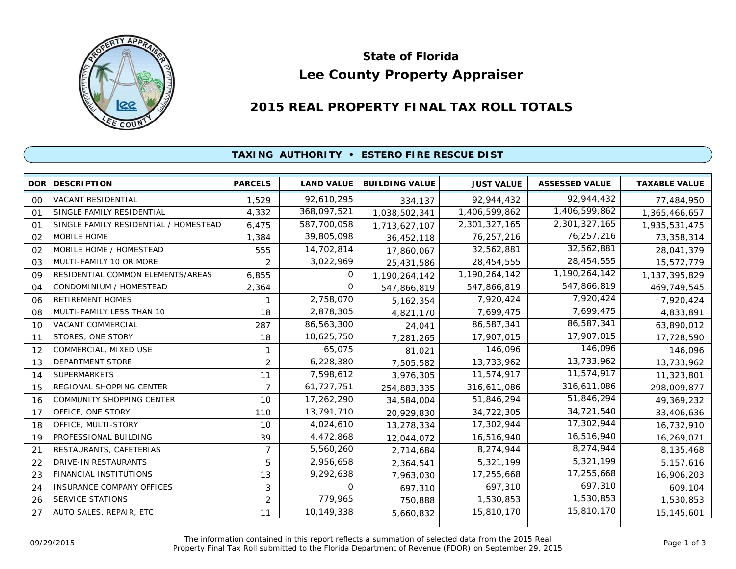

# **Lee County Property Appraiser State of Florida**

## **2015 REAL PROPERTY FINAL TAX ROLL TOTALS**

### **TAXING AUTHORITY • ESTERO FIRE RESCUE DIST**

| <b>DOR</b> | <b>DESCRIPTION</b>                    | <b>PARCELS</b> | <b>LAND VALUE</b> | <b>BUILDING VALUE</b> | <b>JUST VALUE</b> | <b>ASSESSED VALUE</b> | <b>TAXABLE VALUE</b> |
|------------|---------------------------------------|----------------|-------------------|-----------------------|-------------------|-----------------------|----------------------|
| 00         | VACANT RESIDENTIAL                    | 1,529          | 92,610,295        | 334,137               | 92,944,432        | 92,944,432            | 77,484,950           |
| 01         | SINGLE FAMILY RESIDENTIAL             | 4,332          | 368,097,521       | 1,038,502,341         | 1,406,599,862     | 1,406,599,862         | 1,365,466,657        |
| 01         | SINGLE FAMILY RESIDENTIAL / HOMESTEAD | 6,475          | 587,700,058       | 1,713,627,107         | 2,301,327,165     | 2,301,327,165         | 1,935,531,475        |
| 02         | MOBILE HOME                           | 1,384          | 39,805,098        | 36,452,118            | 76,257,216        | 76,257,216            | 73,358,314           |
| 02         | MOBILE HOME / HOMESTEAD               | 555            | 14,702,814        | 17,860,067            | 32,562,881        | 32,562,881            | 28,041,379           |
| 03         | MULTI-FAMILY 10 OR MORE               | 2              | 3,022,969         | 25,431,586            | 28,454,555        | 28,454,555            | 15,572,779           |
| 09         | RESIDENTIAL COMMON ELEMENTS/AREAS     | 6,855          | 0                 | 1,190,264,142         | 1,190,264,142     | 1,190,264,142         | 1,137,395,829        |
| 04         | CONDOMINIUM / HOMESTEAD               | 2,364          | $\Omega$          | 547,866,819           | 547,866,819       | 547,866,819           | 469,749,545          |
| 06         | <b>RETIREMENT HOMES</b>               |                | 2,758,070         | 5, 162, 354           | 7,920,424         | 7,920,424             | 7,920,424            |
| 08         | MULTI-FAMILY LESS THAN 10             | 18             | 2,878,305         | 4,821,170             | 7,699,475         | 7,699,475             | 4,833,891            |
| 10         | <b>VACANT COMMERCIAL</b>              | 287            | 86,563,300        | 24,041                | 86,587,341        | 86,587,341            | 63,890,012           |
| 11         | STORES, ONE STORY                     | 18             | 10,625,750        | 7,281,265             | 17,907,015        | 17,907,015            | 17,728,590           |
| 12         | COMMERCIAL, MIXED USE                 | 1              | 65,075            | 81,021                | 146,096           | 146,096               | 146,096              |
| 13         | DEPARTMENT STORE                      | $\overline{2}$ | 6,228,380         | 7,505,582             | 13,733,962        | 13,733,962            | 13,733,962           |
| 14         | <b>SUPERMARKETS</b>                   | 11             | 7,598,612         | 3,976,305             | 11,574,917        | 11,574,917            | 11,323,801           |
| 15         | REGIONAL SHOPPING CENTER              | $\overline{7}$ | 61,727,751        | 254,883,335           | 316,611,086       | 316,611,086           | 298,009,877          |
| 16         | COMMUNITY SHOPPING CENTER             | 10             | 17,262,290        | 34,584,004            | 51,846,294        | 51,846,294            | 49,369,232           |
| 17         | OFFICE, ONE STORY                     | 110            | 13,791,710        | 20,929,830            | 34,722,305        | 34,721,540            | 33,406,636           |
| 18         | OFFICE, MULTI-STORY                   | 10             | 4,024,610         | 13,278,334            | 17,302,944        | 17,302,944            | 16,732,910           |
| 19         | PROFESSIONAL BUILDING                 | 39             | 4,472,868         | 12,044,072            | 16,516,940        | 16,516,940            | 16,269,071           |
| 21         | RESTAURANTS, CAFETERIAS               | $\overline{7}$ | 5,560,260         | 2,714,684             | 8,274,944         | 8,274,944             | 8,135,468            |
| 22         | DRIVE-IN RESTAURANTS                  | 5              | 2,956,658         | 2,364,541             | 5,321,199         | 5,321,199             | 5,157,616            |
| 23         | <b>FINANCIAL INSTITUTIONS</b>         | 13             | 9,292,638         | 7,963,030             | 17,255,668        | 17,255,668            | 16,906,203           |
| 24         | <b>INSURANCE COMPANY OFFICES</b>      | 3              | $\Omega$          | 697,310               | 697,310           | 697,310               | 609,104              |
| 26         | <b>SERVICE STATIONS</b>               | $\overline{2}$ | 779,965           | 750,888               | 1,530,853         | 1,530,853             | 1,530,853            |
| 27         | AUTO SALES, REPAIR, ETC               | 11             | 10,149,338        | 5,660,832             | 15,810,170        | 15,810,170            | 15,145,601           |
|            |                                       |                |                   |                       |                   |                       |                      |

The information contained in this report reflects a summation of selected data from the 2015 Real Ine information contained in this report reflects a summation of selected data from the 2015 Real<br>Property Final Tax Roll submitted to the Florida Department of Revenue (FDOR) on September 29, 2015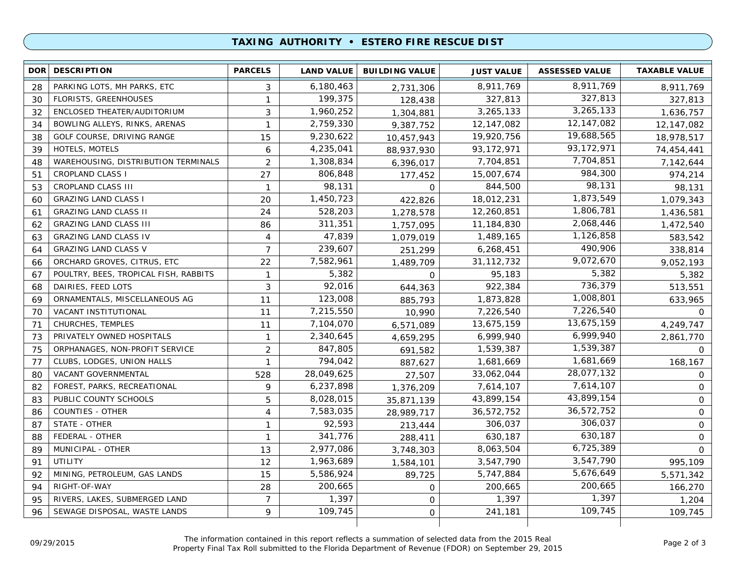#### **TAXING AUTHORITY • ESTERO FIRE RESCUE DIST**

| <b>DOR</b> | <b>DESCRIPTION</b>                         | <b>PARCELS</b> | <b>LAND VALUE</b> | <b>BUILDING VALUE</b> | <b>JUST VALUE</b> | <b>ASSESSED VALUE</b> | <b>TAXABLE VALUE</b> |
|------------|--------------------------------------------|----------------|-------------------|-----------------------|-------------------|-----------------------|----------------------|
| 28         | PARKING LOTS, MH PARKS, ETC                | 3              | 6,180,463         | 2,731,306             | 8,911,769         | 8,911,769             | 8,911,769            |
| 30         | <b>FLORISTS, GREENHOUSES</b>               | 1              | 199,375           | 128,438               | 327,813           | 327,813               | 327,813              |
| 32         | ENCLOSED THEATER/AUDITORIUM                | 3              | 1,960,252         | 1,304,881             | 3,265,133         | 3,265,133             | 1,636,757            |
| 34         | BOWLING ALLEYS, RINKS, ARENAS              | $\mathbf{1}$   | 2,759,330         | 9,387,752             | 12,147,082        | 12,147,082            | 12,147,082           |
| 38         | GOLF COURSE, DRIVING RANGE                 | 15             | 9,230,622         | 10,457,943            | 19,920,756        | 19,688,565            | 18,978,517           |
| 39         | HOTELS, MOTELS                             | 6              | 4,235,041         | 88,937,930            | 93,172,971        | 93, 172, 971          | 74,454,441           |
| 48         | <b>WAREHOUSING, DISTRIBUTION TERMINALS</b> | 2              | 1,308,834         | 6,396,017             | 7,704,851         | 7,704,851             | 7,142,644            |
| 51         | <b>CROPLAND CLASS I</b>                    | 27             | 806,848           | 177,452               | 15,007,674        | 984,300               | 974,214              |
| 53         | CROPLAND CLASS III                         | $\mathbf{1}$   | 98,131            | 0                     | 844,500           | 98,131                | 98,131               |
| 60         | <b>GRAZING LAND CLASS I</b>                | 20             | 1,450,723         | 422,826               | 18,012,231        | 1,873,549             | 1,079,343            |
| 61         | <b>GRAZING LAND CLASS II</b>               | 24             | 528,203           | 1,278,578             | 12,260,851        | 1,806,781             | 1,436,581            |
| 62         | <b>GRAZING LAND CLASS III</b>              | 86             | 311,351           | 1,757,095             | 11,184,830        | 2,068,446             | 1,472,540            |
| 63         | <b>GRAZING LAND CLASS IV</b>               | 4              | 47,839            | 1,079,019             | 1,489,165         | 1,126,858             | 583,542              |
| 64         | <b>GRAZING LAND CLASS V</b>                | $\overline{7}$ | 239,607           | 251,299               | 6,268,451         | 490,906               | 338,814              |
| 66         | ORCHARD GROVES, CITRUS, ETC                | 22             | 7,582,961         | 1,489,709             | 31, 112, 732      | 9,072,670             | 9,052,193            |
| 67         | POULTRY, BEES, TROPICAL FISH, RABBITS      | $\mathbf{1}$   | 5,382             | $\Omega$              | 95,183            | 5,382                 | 5,382                |
| 68         | DAIRIES, FEED LOTS                         | 3              | 92,016            | 644,363               | 922,384           | 736,379               | 513,551              |
| 69         | ORNAMENTALS, MISCELLANEOUS AG              | 11             | 123,008           | 885,793               | 1,873,828         | 1,008,801             | 633,965              |
| 70         | VACANT INSTITUTIONAL                       | 11             | 7,215,550         | 10,990                | 7,226,540         | 7,226,540             | $\Omega$             |
| 71         | CHURCHES, TEMPLES                          | 11             | 7,104,070         | 6,571,089             | 13,675,159        | 13,675,159            | 4,249,747            |
| 73         | PRIVATELY OWNED HOSPITALS                  | $\mathbf{1}$   | 2,340,645         | 4,659,295             | 6,999,940         | 6,999,940             | 2,861,770            |
| 75         | ORPHANAGES, NON-PROFIT SERVICE             | $\overline{c}$ | 847,805           | 691,582               | 1,539,387         | 1,539,387             | $\mathsf{O}$         |
| 77         | CLUBS, LODGES, UNION HALLS                 | 1              | 794,042           | 887,627               | 1,681,669         | 1,681,669             | 168,167              |
| 80         | VACANT GOVERNMENTAL                        | 528            | 28,049,625        | 27,507                | 33,062,044        | 28,077,132            | 0                    |
| 82         | FOREST, PARKS, RECREATIONAL                | 9              | 6,237,898         | 1,376,209             | 7,614,107         | 7,614,107             | 0                    |
| 83         | PUBLIC COUNTY SCHOOLS                      | 5              | 8,028,015         | 35,871,139            | 43,899,154        | 43,899,154            | $\mathbf 0$          |
| 86         | COUNTIES - OTHER                           | $\overline{4}$ | 7,583,035         | 28,989,717            | 36,572,752        | 36,572,752            | $\mathbf 0$          |
| 87         | STATE - OTHER                              | 1              | 92,593            | 213,444               | 306,037           | 306,037               | $\mathsf{O}$         |
| 88         | FEDERAL - OTHER                            | $\mathbf{1}$   | 341,776           | 288,411               | 630,187           | 630,187               | $\mathbf 0$          |
| 89         | MUNICIPAL - OTHER                          | 13             | 2,977,086         | 3,748,303             | 8,063,504         | 6,725,389             | $\mathbf 0$          |
| 91         | UTILITY                                    | 12             | 1,963,689         | 1,584,101             | 3,547,790         | 3,547,790             | 995,109              |
| 92         | MINING, PETROLEUM, GAS LANDS               | 15             | 5,586,924         | 89,725                | 5,747,884         | 5,676,649             | 5,571,342            |
| 94         | RIGHT-OF-WAY                               | 28             | 200,665           | $\mathbf 0$           | 200,665           | 200,665               | 166,270              |
| 95         | RIVERS, LAKES, SUBMERGED LAND              | $\overline{7}$ | 1,397             | 0                     | 1,397             | 1,397                 | 1,204                |
| 96         | SEWAGE DISPOSAL, WASTE LANDS               | 9              | 109,745           | O                     | 241,181           | 109,745               | 109,745              |
|            |                                            |                |                   |                       |                   |                       |                      |